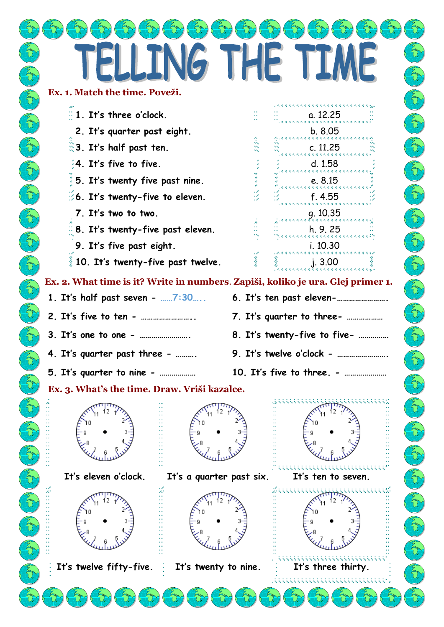|        |                                                                                                        | LLING THE                |                                                                                                                                            |                  |
|--------|--------------------------------------------------------------------------------------------------------|--------------------------|--------------------------------------------------------------------------------------------------------------------------------------------|------------------|
|        | Ex. 1. Match the time. Poveži.                                                                         |                          |                                                                                                                                            |                  |
|        | $\frac{1}{2}$ 1. It's three o'clock.                                                                   |                          | 医无光光光光光光光光光光光光光光光光光光<br>a. 12.25                                                                                                           |                  |
|        | 2. It's quarter past eight.                                                                            |                          | b. 8.05<br>的过去式与过去分词的过去式与过去分词形式                                                                                                            |                  |
|        | <b>3.</b> It's half past ten.                                                                          |                          | c. 11.25<br>医无光光光光光光光光光光光光光光光光光光光                                                                                                          | Z.               |
|        | 4. It's five to five.                                                                                  |                          | d.1.58<br>医无光光光光光光光光光光<br>医无光光光光光光光光                                                                                                       |                  |
|        | 5. It's twenty five past nine.                                                                         |                          | e. 8.15<br>医无光光光光光光光光光光光光光光光光光光光光                                                                                                          |                  |
|        | 6. It's twenty-five to eleven.                                                                         |                          | f.4.55<br>医无光光光光光光光光<br>*********                                                                                                          | East             |
|        | 7. It's two to two.                                                                                    |                          | q. 10.35<br>.                                                                                                                              |                  |
|        | $\frac{1}{2}$ 8. It's twenty-five past eleven.                                                         |                          | h. 9. 25<br>医无光光光光光光光光光光光光光光光光光光光光<br>i. 10.30                                                                                             |                  |
|        | 9. It's five past eight.<br>$\frac{3}{8}$ 10. It's twenty-five past twelve.                            |                          | 的过去式与过去分词的过去式与过去分词                                                                                                                         |                  |
|        |                                                                                                        |                          |                                                                                                                                            |                  |
| $\sum$ |                                                                                                        |                          | Ex. 2. What time is it? Write in numbers. Zapiši, koliko je ura. Glej primer 1.<br>1. It's half past seven - 7:30 6. It's ten past eleven- | $\sum_{i=1}^{n}$ |
|        |                                                                                                        |                          | 7. It's quarter to three-                                                                                                                  |                  |
|        | 3. It's one to one -                                                                                   |                          | 8. It's twenty-five to five-                                                                                                               |                  |
|        | 4. It's quarter past three -                                                                           |                          | 9. It's twelve o'clock -                                                                                                                   |                  |
|        |                                                                                                        |                          |                                                                                                                                            |                  |
|        | 5. It's quarter to nine -<br>10. It's five to three. -<br>Ex. 3. What's the time. Draw. Vriši kazalce. |                          |                                                                                                                                            |                  |
|        |                                                                                                        |                          |                                                                                                                                            |                  |
|        |                                                                                                        |                          |                                                                                                                                            |                  |
|        |                                                                                                        |                          |                                                                                                                                            |                  |
|        |                                                                                                        |                          |                                                                                                                                            |                  |
|        | It's eleven o'clock.                                                                                   | It's a quarter past six. | It's ten to seven.                                                                                                                         |                  |
|        |                                                                                                        |                          |                                                                                                                                            |                  |
|        |                                                                                                        |                          |                                                                                                                                            |                  |
|        |                                                                                                        |                          |                                                                                                                                            |                  |
|        |                                                                                                        |                          |                                                                                                                                            |                  |
|        | It's twelve fifty-five.                                                                                | It's twenty to nine.     | It's three thirty.                                                                                                                         |                  |
|        |                                                                                                        |                          |                                                                                                                                            |                  |
|        |                                                                                                        |                          |                                                                                                                                            |                  |